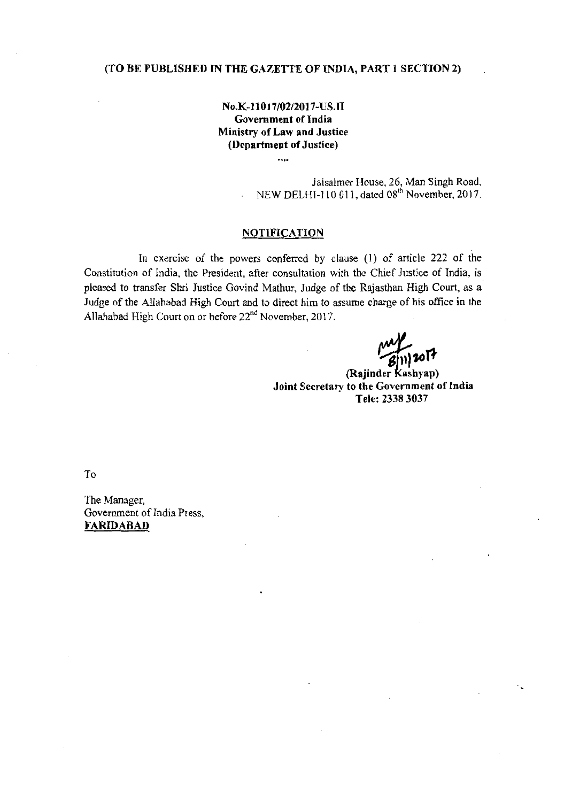### (TO BE PUBLISHED IN THE GAZETTE OF INDIA, PART 1 SECTION 2)

## No.K-11017/02/2017-US.II Government of India Ministry of Law and Justice (Department of Justice)

Jaisalmer House, 26, Man Singh Road, NEW DELHI-110 011, dated 08<sup>th</sup> November, 2017.

#### NOTIFICATION

In exercise of the powers conferred by clause (1) of article 222 of the Constitution of India, the President, after consultation with the Chief Justice of India, is pleased to transfer Shri Justice Govind Mathur, Judge of the Rajasthan High Court, as a Judge of the Allahabad High Court and to direct him to assume charge of his office in the Allahabad High Court on or before 22<sup>nd</sup> November, 2017.

(Rajinder Kashyap) Joint Secretary to the Government of India Tele: 23383031

To

The Manager, Government of India Press, FARIDABAD